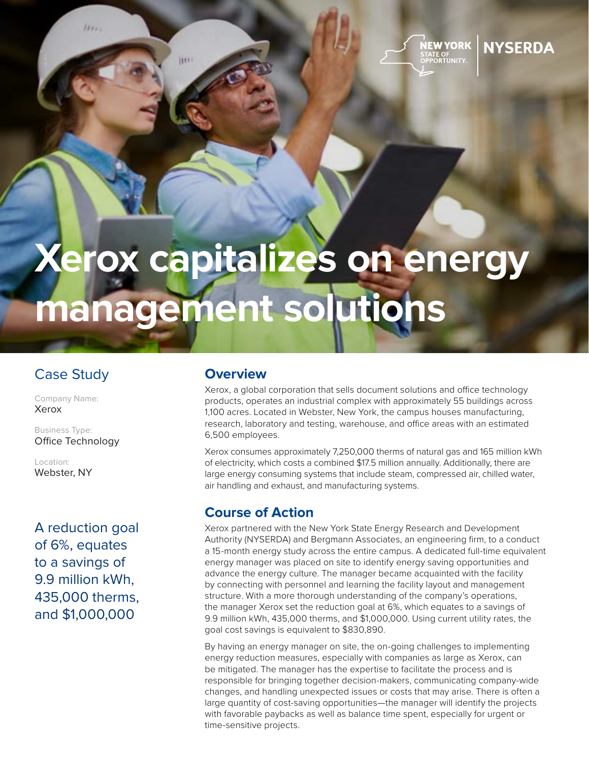

# **NYSERDA**

# **Xerox capitalizes on energy management solutions**

## Case Study

 $1111.$ 

**HIT** 

Company Name: Xerox

Business Type: Office Technology

Location: Webster, NY

A reduction goal of 6%, equates to a savings of 9.9 million kWh, 435,000 therms, and \$1,000,000

### **Overview**

Xerox, a global corporation that sells document solutions and office technology products, operates an industrial complex with approximately 55 buildings across 1,100 acres. Located in Webster, New York, the campus houses manufacturing, research, laboratory and testing, warehouse, and office areas with an estimated 6,500 employees.

Xerox consumes approximately 7,250,000 therms of natural gas and 165 million kWh of electricity, which costs a combined \$17.5 million annually. Additionally, there are large energy consuming systems that include steam, compressed air, chilled water, air handling and exhaust, and manufacturing systems.

#### **Course of Action**

Xerox partnered with the New York State Energy Research and Development Authority (NYSERDA) and Bergmann Associates, an engineering firm, to a conduct a 15-month energy study across the entire campus. A dedicated full-time equivalent energy manager was placed on site to identify energy saving opportunities and advance the energy culture. The manager became acquainted with the facility by connecting with personnel and learning the facility layout and management structure. With a more thorough understanding of the company's operations, the manager Xerox set the reduction goal at 6%, which equates to a savings of 9.9 million kWh, 435,000 therms, and \$1,000,000. Using current utility rates, the goal cost savings is equivalent to \$830,890.

By having an energy manager on site, the on-going challenges to implementing energy reduction measures, especially with companies as large as Xerox, can be mitigated. The manager has the expertise to facilitate the process and is responsible for bringing together decision-makers, communicating company-wide changes, and handling unexpected issues or costs that may arise. There is often a large quantity of cost-saving opportunities—the manager will identify the projects with favorable paybacks as well as balance time spent, especially for urgent or time-sensitive projects.